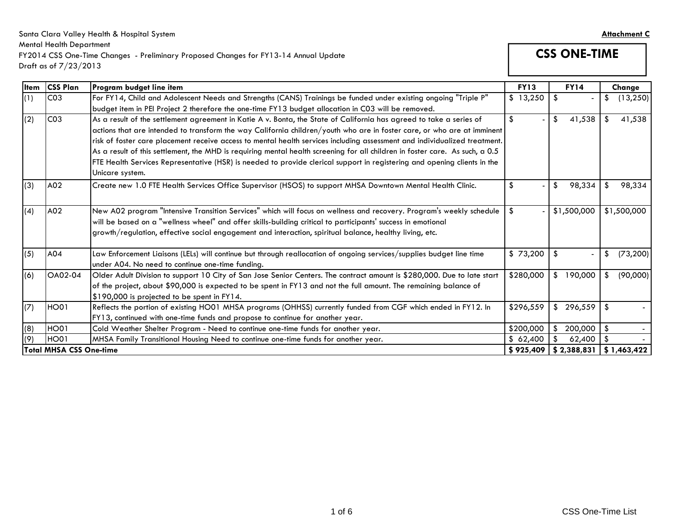#### Santa Clara Valley Health & Hospital System **Attachment C** Mental Health Department FY2014 CSS One-Time Changes - Preliminary Proposed Changes for FY13-14 Annual Update Draft as of 7/23/2013

**CSS ONE-TIME** 

|              | <b>UTULI US UI 7 / 20 / 20 I J</b> |                                                                                                                                                                                                                                                                                                                                                                                                                                                                                                                                                                                                                                                            |             |               |                 |
|--------------|------------------------------------|------------------------------------------------------------------------------------------------------------------------------------------------------------------------------------------------------------------------------------------------------------------------------------------------------------------------------------------------------------------------------------------------------------------------------------------------------------------------------------------------------------------------------------------------------------------------------------------------------------------------------------------------------------|-------------|---------------|-----------------|
| <b>I</b> tem | <b>CSS Plan</b>                    | Program budget line item                                                                                                                                                                                                                                                                                                                                                                                                                                                                                                                                                                                                                                   | <b>FY13</b> | <b>FY14</b>   | Change          |
| (1)          | CO <sub>3</sub>                    | For FY14, Child and Adolescent Needs and Strengths (CANS) Trainings be funded under existing ongoing "Triple P"<br>budget item in PEI Project 2 therefore the one-time FY13 budget allocation in C03 will be removed.                                                                                                                                                                                                                                                                                                                                                                                                                                      | \$13,250    | -\$           | (13, 250)<br>\$ |
| (2)          | CO <sub>3</sub>                    | As a result of the settlement agreement in Katie A v. Bonta, the State of California has agreed to take a series of<br>actions that are intended to transform the way California children/youth who are in foster care, or who are at imminent<br>risk of foster care placement receive access to mental health services including assessment and individualized treatment.<br>As a result of this settlement, the MHD is requiring mental health screening for all children in foster care. As such, a 0.5<br>FTE Health Services Representative (HSR) is needed to provide clerical support in registering and opening clients in the<br>Unicare system. | \$          | -\$<br>41,538 | 41,538<br>\$    |
| (3)          | A02                                | Create new 1.0 FTE Health Services Office Supervisor (HSOS) to support MHSA Downtown Mental Health Clinic.                                                                                                                                                                                                                                                                                                                                                                                                                                                                                                                                                 | \$          | \$<br>98,334  | \$<br>98,334    |
| (4)          | A02                                | New A02 program "Intensive Transition Services" which will focus on wellness and recovery. Program's weekly schedule<br>will be based on a "wellness wheel" and offer skills-building critical to participants' success in emotional<br>growth/regulation, effective social engagement and interaction, spiritual balance, healthy living, etc.                                                                                                                                                                                                                                                                                                            | \$          | \$1,500,000   | \$1,500,000     |
| (5)          | A04                                | Law Enforcement Liaisons (LELs) will continue but through reallocation of ongoing services/supplies budget line time<br>under A04. No need to continue one-time funding.                                                                                                                                                                                                                                                                                                                                                                                                                                                                                   | \$73,200    | \$            | (73, 200)<br>\$ |
| (6)          | OA02-04                            | Older Adult Division to support 10 City of San Jose Senior Centers. The contract amount is \$280,000. Due to late start<br>of the project, about \$90,000 is expected to be spent in FY13 and not the full amount. The remaining balance of<br>\$190,000 is projected to be spent in FY14.                                                                                                                                                                                                                                                                                                                                                                 | \$280,000   | \$<br>190,000 | (90,000)<br>\$  |
| (7)          | HO01                               | Reflects the portion of existing HO01 MHSA programs (OHHSS) currently funded from CGF which ended in FY12. In<br>FY13, continued with one-time funds and propose to continue for another year.                                                                                                                                                                                                                                                                                                                                                                                                                                                             | \$296,559   | \$<br>296,559 | -\$             |
| (8)          | <b>HO01</b>                        | Cold Weather Shelter Program - Need to continue one-time funds for another year.                                                                                                                                                                                                                                                                                                                                                                                                                                                                                                                                                                           | \$200,000   | \$<br>200,000 | \$<br>$\sim$    |
| (9)          | HO01                               | MHSA Family Transitional Housing Need to continue one-time funds for another year.                                                                                                                                                                                                                                                                                                                                                                                                                                                                                                                                                                         | \$62,400    | 62,400<br>-\$ | \$              |
|              | <b>Total MHSA CSS One-time</b>     |                                                                                                                                                                                                                                                                                                                                                                                                                                                                                                                                                                                                                                                            | \$925,409   | \$2,388,831   | \$1,463,422     |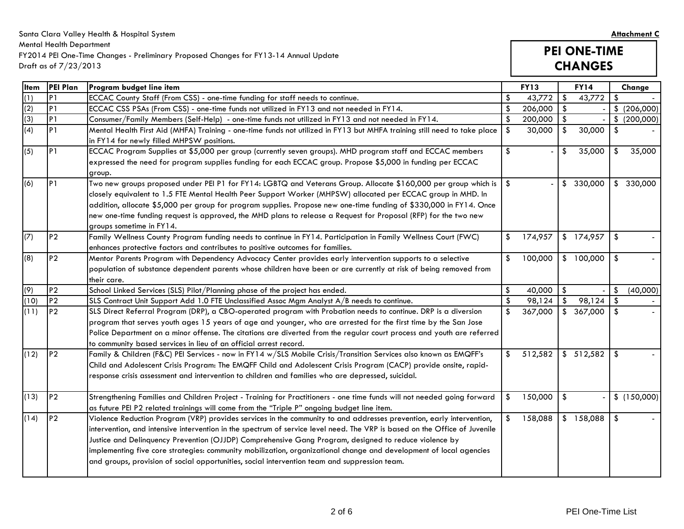Santa Clara Valley Health & Hospital System **Attachment C** Mental Health Department FY2014 PEI One-Time Changes - Preliminary Proposed Changes for FY13-14 Annual Update Draft as of 7/23/2013

# **PEI ONE-TIME CHANGES**

| <b>I</b> tem | <b>PEI Plan</b> | Program budget line item                                                                                                   |                           | <b>FY13</b> |                         | <b>FY14</b> |               | Change       |
|--------------|-----------------|----------------------------------------------------------------------------------------------------------------------------|---------------------------|-------------|-------------------------|-------------|---------------|--------------|
| (1)          | P <sub>1</sub>  | ECCAC County Staff (From CSS) - one-time funding for staff needs to continue.                                              | \$                        | 43,772      | $\frac{1}{2}$           | 43,772      | -\$           |              |
| (2)          | P <sub>1</sub>  | ECCAC CSS PSAs (From CSS) - one-time funds not utilized in FY13 and not needed in FY14.                                    | $\sqrt[6]{2}$             | 206,000     | \$                      |             |               | \$ (206,000) |
| (3)          | P <sub>1</sub>  | Consumer/Family Members (Self-Help) - one-time funds not utilized in FY13 and not needed in FY14.                          | $\sqrt[6]{2}$             | 200,000     | $\sqrt[6]{3}$           |             |               | \$ (200,000) |
| (4)          | P <sub>1</sub>  | Mental Health First Aid (MHFA) Training - one-time funds not utilized in FY13 but MHFA training still need to take place   | \$                        | 30,000      | \$                      | 30,000      | -\$           |              |
|              |                 | in FY14 for newly filled MHPSW positions.                                                                                  |                           |             |                         |             |               |              |
| (5)          | P <sub>1</sub>  | ECCAC Program Supplies at \$5,000 per group (currently seven groups). MHD program staff and ECCAC members                  | \$                        |             | \$                      | 35,000      | -\$           | 35,000       |
|              |                 | expressed the need for program supplies funding for each ECCAC group. Propose \$5,000 in funding per ECCAC                 |                           |             |                         |             |               |              |
|              |                 | group.                                                                                                                     |                           |             |                         |             |               |              |
| (6)          | P1              | Two new groups proposed under PEI P1 for FY14: LGBTQ and Veterans Group. Allocate \$160,000 per group which is             | \$                        |             |                         | \$330,000   |               | \$330,000    |
|              |                 | closely equivalent to 1.5 FTE Mental Health Peer Support Worker (MHPSW) allocated per ECCAC group in MHD. In               |                           |             |                         |             |               |              |
|              |                 | addition, allocate \$5,000 per group for program supplies. Propose new one-time funding of \$330,000 in FY14. Once         |                           |             |                         |             |               |              |
|              |                 | new one-time funding request is approved, the MHD plans to release a Request for Proposal (RFP) for the two new            |                           |             |                         |             |               |              |
|              |                 | groups sometime in FY14.                                                                                                   |                           |             |                         |             |               |              |
| (7)          | P <sub>2</sub>  | Family Wellness County Program funding needs to continue in FY14. Participation in Family Wellness Court (FWC)             | \$                        | 174,957     |                         | \$174,957   | -\$           |              |
|              |                 | enhances protective factors and contributes to positive outcomes for families.                                             |                           |             |                         |             |               |              |
| (8)          | <b>P2</b>       | Mentor Parents Program with Dependency Advocacy Center provides early intervention supports to a selective                 | $\boldsymbol{\mathsf{s}}$ | 100,000     |                         | \$100,000   | -\$           |              |
|              |                 | population of substance dependent parents whose children have been or are currently at risk of being removed from          |                           |             |                         |             |               |              |
|              |                 | their care.                                                                                                                |                           |             |                         |             |               |              |
| (9)          | P <sub>2</sub>  | School Linked Services (SLS) Pilot/Planning phase of the project has ended.                                                | $\sqrt[6]{\frac{1}{2}}$   | 40,000      | \$                      |             | \$            | (40,000)     |
| (10)         | P <sub>2</sub>  | SLS Contract Unit Support Add 1.0 FTE Unclassified Assoc Mgm Analyst A/B needs to continue.                                | \$                        | 98,124      | \$                      | 98,124      | -\$           |              |
| (11)         | P <sub>2</sub>  | SLS Direct Referral Program (DRP), a CBO-operated program with Probation needs to continue. DRP is a diversion             | \$                        | 367,000     |                         | \$367,000   | - \$          |              |
|              |                 | program that serves youth ages 15 years of age and younger, who are arrested for the first time by the San Jose            |                           |             |                         |             |               |              |
|              |                 | Police Department on a minor offense. The citations are diverted from the regular court process and youth are referred     |                           |             |                         |             |               |              |
|              |                 | to community based services in lieu of an official arrest record.                                                          |                           |             |                         |             |               |              |
| (12)         | P2              | Family & Children (F&C) PEI Services - now in FY14 w/SLS Mobile Crisis/Transition Services also known as EMQFF's           | \$                        | 512,582     |                         | \$512,582   | -\$           |              |
|              |                 | Child and Adolescent Crisis Program: The EMQFF Child and Adolescent Crisis Program (CACP) provide onsite, rapid-           |                           |             |                         |             |               |              |
|              |                 | response crisis assessment and intervention to children and families who are depressed, suicidal.                          |                           |             |                         |             |               |              |
| (13)         | P <sub>2</sub>  | Strengthening Families and Children Project - Training for Practitioners - one time funds will not needed going forward    | \$                        | 150,000     | $\sqrt[6]{\frac{1}{2}}$ |             |               | \$(150,000)  |
|              |                 | as future PEI P2 related trainings will come from the "Triple P" ongoing budget line item.                                 |                           |             |                         |             |               |              |
| (14)         | P <sub>2</sub>  | Violence Reduction Program (VRP) provides services in the community to and addresses prevention, early intervention,       |                           | 158,088     |                         | \$158,088   | $\sqrt[6]{3}$ |              |
|              |                 | intervention, and intensive intervention in the spectrum of service level need. The VRP is based on the Office of Juvenile |                           |             |                         |             |               |              |
|              |                 | Justice and Delinquency Prevention (OJJDP) Comprehensive Gang Program, designed to reduce violence by                      |                           |             |                         |             |               |              |
|              |                 | implementing five core strategies: community mobilization, organizational change and development of local agencies         |                           |             |                         |             |               |              |
|              |                 | and groups, provision of social opportunities, social intervention team and suppression team.                              |                           |             |                         |             |               |              |
|              |                 |                                                                                                                            |                           |             |                         |             |               |              |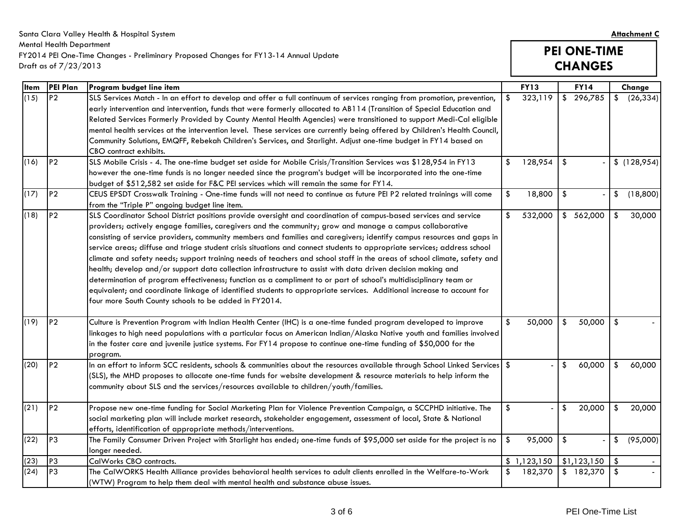| Santa Clara Valley Health & Hospital System                                          | <b>Attachment C</b> |
|--------------------------------------------------------------------------------------|---------------------|
| Mental Health Department                                                             |                     |
| FY2014 PEI One-Time Changes - Preliminary Proposed Changes for FY13-14 Annual Update | <b>PEI ONE-TIME</b> |
| Draft as of $7/23/2013$                                                              | <b>CHANGES</b>      |

### **PEI ONE-TIME CHANGES**

| <b>I</b> tem | PEI Plan       | Program budget line item                                                                                                                                                                                                                                                                                                                                                                                                                                                                                                                                                                                                                                                                                                                                                                                                                                                                                                                                                                                                               |               | <b>FY13</b> |               | <b>FY14</b> | Change          |
|--------------|----------------|----------------------------------------------------------------------------------------------------------------------------------------------------------------------------------------------------------------------------------------------------------------------------------------------------------------------------------------------------------------------------------------------------------------------------------------------------------------------------------------------------------------------------------------------------------------------------------------------------------------------------------------------------------------------------------------------------------------------------------------------------------------------------------------------------------------------------------------------------------------------------------------------------------------------------------------------------------------------------------------------------------------------------------------|---------------|-------------|---------------|-------------|-----------------|
| (15)         | <b>P2</b>      | SLS Services Match - In an effort to develop and offer a full continuum of services ranging from promotion, prevention,<br>early intervention and intervention, funds that were formerly allocated to AB114 (Transition of Special Education and<br>Related Services Formerly Provided by County Mental Health Agencies) were transitioned to support Medi-Cal eligible<br>mental health services at the intervention level. These services are currently being offered by Children's Health Council,<br>Community Solutions, EMQFF, Rebekah Children's Services, and Starlight. Adjust one-time budget in FY14 based on<br>CBO contract exhibits.                                                                                                                                                                                                                                                                                                                                                                                     | $\mathsf{\$}$ | 323,119     |               | \$296,785   | \$<br>(26, 334) |
| (16)         | P <sub>2</sub> | SLS Mobile Crisis - 4. The one-time budget set aside for Mobile Crisis/Transition Services was \$128,954 in FY13<br>however the one-time funds is no longer needed since the program's budget will be incorporated into the one-time<br>budget of \$512,582 set aside for F&C PEI services which will remain the same for FY14.                                                                                                                                                                                                                                                                                                                                                                                                                                                                                                                                                                                                                                                                                                        | \$            | 128,954     | \$            |             | \$(128,954)     |
| (17)         | P <sub>2</sub> | CEUS EPSDT Crosswalk Training - One-time funds will not need to continue as future PEI P2 related trainings will come<br>from the "Triple P" ongoing budget line item.                                                                                                                                                                                                                                                                                                                                                                                                                                                                                                                                                                                                                                                                                                                                                                                                                                                                 | \$            | 18,800      | $\sqrt[6]{3}$ |             | \$<br>(18,800)  |
| (18)         | P <sub>2</sub> | SLS Coordinator School District positions provide oversight and coordination of campus-based services and service<br>providers; actively engage families, caregivers and the community; grow and manage a campus collaborative<br>consisting of service providers, community members and families and caregivers; identify campus resources and gaps in<br>service areas; diffuse and triage student crisis situations and connect students to appropriate services; address school<br>climate and safety needs; support training needs of teachers and school staff in the areas of school climate, safety and<br>health; develop and/or support data collection infrastructure to assist with data driven decision making and<br>determination of program effectiveness; function as a compliment to or part of school's multidisciplinary team or<br>equivalent; and coordinate linkage of identified students to appropriate services. Additional increase to account for<br>four more South County schools to be added in FY2014. | $\frac{1}{2}$ | 532,000     |               | \$562,000   | \$<br>30,000    |
| (19)         | P <sub>2</sub> | Culture is Prevention Program with Indian Health Center (IHC) is a one-time funded program developed to improve<br>linkages to high need populations with a particular focus on American Indian/Alaska Native youth and families involved<br>in the foster care and juvenile justice systems. For FY14 propose to continue one-time funding of \$50,000 for the<br>program.                                                                                                                                                                                                                                                                                                                                                                                                                                                                                                                                                                                                                                                            | \$            | 50,000      | $\sqrt[6]{2}$ | 50,000      | \$              |
| (20)         | <b>P2</b>      | In an effort to inform SCC residents, schools & communities about the resources available through School Linked Services $\,$ \$<br>(SLS), the MHD proposes to allocate one-time funds for website development & resource materials to help inform the<br>community about SLS and the services/resources available to children/youth/families.                                                                                                                                                                                                                                                                                                                                                                                                                                                                                                                                                                                                                                                                                         |               |             | \$            | 60,000      | \$<br>60,000    |
| (21)         | P <sub>2</sub> | Propose new one-time funding for Social Marketing Plan for Violence Prevention Campaign, a SCCPHD initiative. The<br>social marketing plan will include market research, stakeholder engagement, assessment of local, State & National<br>efforts, identification of appropriate methods/interventions.                                                                                                                                                                                                                                                                                                                                                                                                                                                                                                                                                                                                                                                                                                                                | \$            |             | \$            | 20,000      | \$<br>20,000    |
| (22)         | P <sub>3</sub> | The Family Consumer Driven Project with Starlight has ended; one-time funds of \$95,000 set aside for the project is no<br>longer needed.                                                                                                                                                                                                                                                                                                                                                                                                                                                                                                                                                                                                                                                                                                                                                                                                                                                                                              | \$            | 95,000      | $\sqrt[6]{2}$ |             | \$<br>(95,000)  |
| (23)         | P <sub>3</sub> | CalWorks CBO contracts.                                                                                                                                                                                                                                                                                                                                                                                                                                                                                                                                                                                                                                                                                                                                                                                                                                                                                                                                                                                                                |               | \$1,123,150 |               | \$1,123,150 | \$              |
| (24)         | P <sub>3</sub> | The CalWORKS Health Alliance provides behavioral health services to adult clients enrolled in the Welfare-to-Work<br>(WTW) Program to help them deal with mental health and substance abuse issues.                                                                                                                                                                                                                                                                                                                                                                                                                                                                                                                                                                                                                                                                                                                                                                                                                                    | \$            | 182,370     |               | \$182,370   | \$              |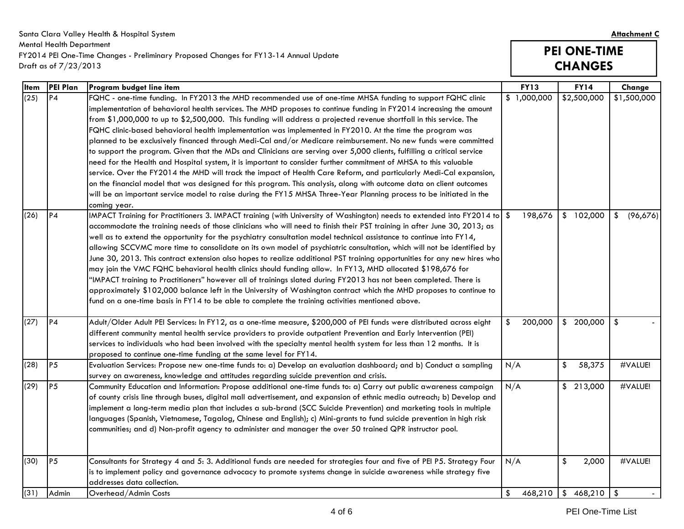| Santa Clara Valley Health & Hospital System                                          |                     |  |  |  |
|--------------------------------------------------------------------------------------|---------------------|--|--|--|
| Mental Health Department                                                             |                     |  |  |  |
| FY2014 PEI One-Time Changes - Preliminary Proposed Changes for FY13-14 Annual Update | <b>PEI ONE-TIME</b> |  |  |  |
| Draft as of 7/23/2013                                                                | <b>CHANGES</b>      |  |  |  |

# **PEI ONE-TIME CHANGES**

| <b>Item</b> | <b>PEI Plan</b> | Program budget line item                                                                                                                                                                                                                                                                                                                                                                                                                                                                                                                                                                                                                                                                                                                                                                                                                                                                                                                                                                                                                                                                                                                                                                                                   | <b>FY13</b>                        | <b>FY14</b>                       | Change         |
|-------------|-----------------|----------------------------------------------------------------------------------------------------------------------------------------------------------------------------------------------------------------------------------------------------------------------------------------------------------------------------------------------------------------------------------------------------------------------------------------------------------------------------------------------------------------------------------------------------------------------------------------------------------------------------------------------------------------------------------------------------------------------------------------------------------------------------------------------------------------------------------------------------------------------------------------------------------------------------------------------------------------------------------------------------------------------------------------------------------------------------------------------------------------------------------------------------------------------------------------------------------------------------|------------------------------------|-----------------------------------|----------------|
| (25)        | <b>P4</b>       | FQHC - one-time funding. In FY2013 the MHD recommended use of one-time MHSA funding to support FQHC clinic<br>implementation of behavioral health services. The MHD proposes to continue funding in FY2014 increasing the amount<br>from \$1,000,000 to up to \$2,500,000. This funding will address a projected revenue shortfall in this service. The<br>FQHC clinic-based behavioral health implementation was implemented in FY2010. At the time the program was<br>planned to be exclusively financed through Medi-Cal and/or Medicare reimbursement. No new funds were committed<br>to support the program. Given that the MDs and Clinicians are serving over 5,000 clients, fulfilling a critical service<br>need for the Health and Hospital system, it is important to consider further commitment of MHSA to this valuable<br>service. Over the FY2014 the MHD will track the impact of Health Care Reform, and particularly Medi-Cal expansion,<br>on the financial model that was designed for this program. This analysis, along with outcome data on client outcomes<br>will be an important service model to raise during the FY15 MHSA Three-Year Planning process to be initiated in the<br>coming year. | \$1,000,000                        | \$2,500,000                       | \$1,500,000    |
| (26)        | P4              | IMPACT Training for Practitioners 3. IMPACT training (with University of Washington) needs to extended into FY2014 to \$<br>accommodate the training needs of those clinicians who will need to finish their PST training in after June 30, 2013; as<br>well as to extend the opportunity for the psychiatry consultation model technical assistance to continue into FY14,<br>allowing SCCVMC more time to consolidate on its own model of psychiatric consultation, which will not be identified by<br>June 30, 2013. This contract extension also hopes to realize additional PST training opportunities for any new hires who<br>may join the VMC FQHC behavioral health clinics should funding allow. In FY13, MHD allocated \$198,676 for<br>"IMPACT training to Practitioners" however all of trainings slated during FY2013 has not been completed. There is<br>approximately \$102,000 balance left in the University of Washington contract which the MHD proposes to continue to<br>fund on a one-time basis in FY14 to be able to complete the training activities mentioned above.                                                                                                                            | 198,676                            | \$102,000                         | (96,676)<br>\$ |
| (27)        | <b>P4</b>       | Adult/Older Adult PEI Services: In FY12, as a one-time measure, \$200,000 of PEI funds were distributed across eight<br>different community mental health service providers to provide outpatient Prevention and Early Intervention (PEI)<br>services to individuals who had been involved with the specialty mental health system for less than 12 months. It is<br>proposed to continue one-time funding at the same level for FY14.                                                                                                                                                                                                                                                                                                                                                                                                                                                                                                                                                                                                                                                                                                                                                                                     | 200,000<br>\$                      | \$200,000                         | -\$            |
| (28)        | <b>P5</b>       | Evaluation Services: Propose new one-time funds to: a) Develop an evaluation dashboard; and b) Conduct a sampling<br>survey on awareness, knowledge and attitudes regarding suicide prevention and crisis.                                                                                                                                                                                                                                                                                                                                                                                                                                                                                                                                                                                                                                                                                                                                                                                                                                                                                                                                                                                                                 | N/A                                | $\sqrt[6]{\frac{1}{2}}$<br>58,375 | #VALUE!        |
| (29)        | <b>P5</b>       | Community Education and Information: Propose additional one-time funds to: a) Carry out public awareness campaign<br>of county crisis line through buses, digital mall advertisement, and expansion of ethnic media outreach; b) Develop and<br>implement a long-term media plan that includes a sub-brand (SCC Suicide Prevention) and marketing tools in multiple<br>languages (Spanish, Vietnamese, Tagalog, Chinese and English); c) Mini-grants to fund suicide prevention in high risk<br>communities; and d) Non-profit agency to administer and manager the over 50 trained QPR instructor pool.                                                                                                                                                                                                                                                                                                                                                                                                                                                                                                                                                                                                                   | N/A                                | \$213,000                         | #VALUE!        |
| (30)        | P <sub>5</sub>  | Consultants for Strategy 4 and 5: 3. Additional funds are needed for strategies four and five of PEI P5. Strategy Four<br>is to implement policy and governance advocacy to promote systems change in suicide awareness while strategy five<br>addresses data collection.                                                                                                                                                                                                                                                                                                                                                                                                                                                                                                                                                                                                                                                                                                                                                                                                                                                                                                                                                  | N/A                                | \$<br>2,000                       | #VALUE!        |
| (31)        | Admin           | Overhead/Admin Costs                                                                                                                                                                                                                                                                                                                                                                                                                                                                                                                                                                                                                                                                                                                                                                                                                                                                                                                                                                                                                                                                                                                                                                                                       | $\sqrt[6]{\frac{1}{2}}$<br>468,210 | \$468,210                         | l \$           |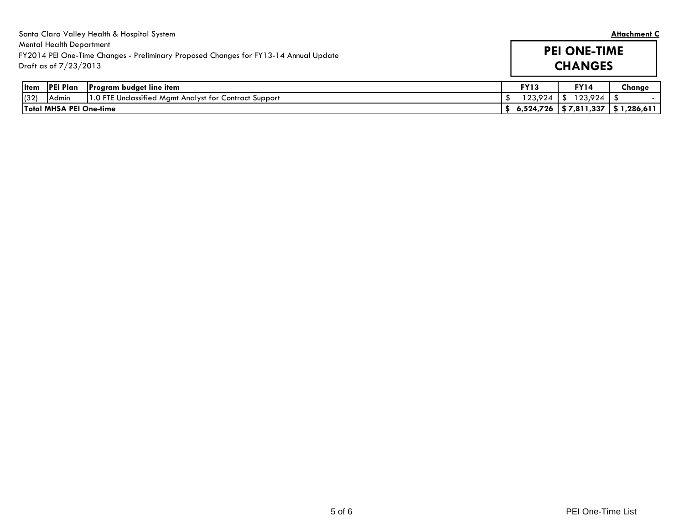|      |                                                          | Santa Clara Valley Health & Hospital System                                          |             |                                         | <b>Attachment C</b> |
|------|----------------------------------------------------------|--------------------------------------------------------------------------------------|-------------|-----------------------------------------|---------------------|
|      | <b>Mental Health Department</b><br>Draft as of 7/23/2013 | FY2014 PEI One-Time Changes - Preliminary Proposed Changes for FY13-14 Annual Update |             | <b>PEI ONE-TIME</b><br><b>CHANGES</b>   |                     |
|      | litem IPEI Plan                                          | <b>Program budget line item</b>                                                      | <b>FY13</b> | <b>FY14</b>                             | Change              |
| (32) | Admin                                                    | 1.0 FTE Unclassified Mgmt Analyst for Contract Support                               | 123.924     | 123,924                                 |                     |
|      | <b>Total MHSA PEI One-time</b>                           |                                                                                      |             | 6,524,726   \$ 7,811,337   \$ 1,286,611 |                     |